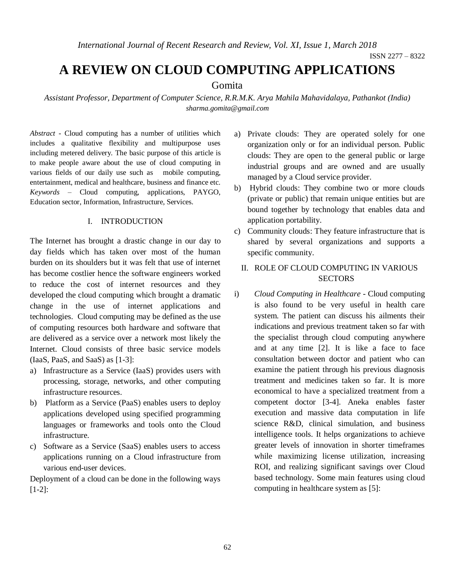*International Journal of Recent Research and Review, Vol. XI, Issue 1, March 2018*

# **A REVIEW ON CLOUD COMPUTING APPLICATIONS**

# Gomita

*Assistant Professor, Department of Computer Science, R.R.M.K. Arya Mahila Mahavidalaya, Pathankot (India) sharma.gomita@gmail.com*

*Abstract* - Cloud computing has a number of utilities which includes a qualitative flexibility and multipurpose uses including metered delivery. The basic purpose of this article is to make people aware about the use of cloud computing in various fields of our daily use such as mobile computing, entertainment, medical and healthcare, business and finance etc. *Keywords* – Cloud computing, applications, PAYGO, Education sector, Information, Infrastructure, Services.

## I. INTRODUCTION

The Internet has brought a drastic change in our day to day fields which has taken over most of the human burden on its shoulders but it was felt that use of internet has become costlier hence the software engineers worked to reduce the cost of internet resources and they developed the cloud computing which brought a dramatic change in the use of internet applications and technologies. Cloud computing may be defined as the use of computing resources both hardware and software that are delivered as a service over a network most likely the Internet. Cloud consists of three basic service models (IaaS, PaaS, and SaaS) as [1-3]:

- a) Infrastructure as a Service (IaaS) provides users with processing, storage, networks, and other computing infrastructure resources.
- b) Platform as a Service (PaaS) enables users to deploy applications developed using specified programming languages or frameworks and tools onto the Cloud infrastructure.
- c) Software as a Service (SaaS) enables users to access applications running on a Cloud infrastructure from various end-user devices.

Deployment of a cloud can be done in the following ways [1-2]:

- a) Private clouds: They are operated solely for one organization only or for an individual person. Public clouds: They are open to the general public or large industrial groups and are owned and are usually managed by a Cloud service provider.
- b) Hybrid clouds: They combine two or more clouds (private or public) that remain unique entities but are bound together by technology that enables data and application portability.
- c) Community clouds: They feature infrastructure that is shared by several organizations and supports a specific community.
	- II. ROLE OF CLOUD COMPUTING IN VARIOUS **SECTORS**
- i) *Cloud Computing in Healthcare* Cloud computing is also found to be very useful in health care system. The patient can discuss his ailments their indications and previous treatment taken so far with the specialist through cloud computing anywhere and at any time [2]. It is like a face to face consultation between doctor and patient who can examine the patient through his previous diagnosis treatment and medicines taken so far. It is more economical to have a specialized treatment from a competent doctor [3-4]. Aneka enables faster execution and massive data computation in life science R&D, clinical simulation, and business intelligence tools. It helps organizations to achieve greater levels of innovation in shorter timeframes while maximizing license utilization, increasing ROI, and realizing significant savings over Cloud based technology. Some main features using cloud computing in healthcare system as [5]: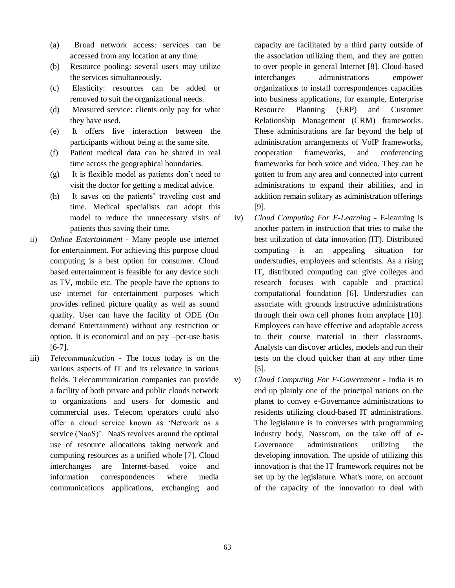- (a) Broad network access: services can be accessed from any location at any time.
- (b) Resource pooling: several users may utilize the services simultaneously.
- (c) Elasticity: resources can be added or removed to suit the organizational needs.
- (d) Measured service: clients only pay for what they have used.
- (e) It offers live interaction between the participants without being at the same site.
- (f) Patient medical data can be shared in real time across the geographical boundaries.
- (g) It is flexible model as patients don't need to visit the doctor for getting a medical advice.
- (h) It saves on the patients' traveling cost and time. Medical specialists can adopt this model to reduce the unnecessary visits of patients thus saving their time.
- ii) *Online Entertainment* Many people use internet for entertainment. For achieving this purpose cloud computing is a best option for consumer. Cloud based entertainment is feasible for any device such as TV, mobile etc. The people have the options to use internet for entertainment purposes which provides refined picture quality as well as sound quality. User can have the facility of ODE (On demand Entertainment) without any restriction or option. It is economical and on pay –per-use basis [6-7].
- iii) *Telecommunication* The focus today is on the various aspects of IT and its relevance in various fields. Telecommunication companies can provide a facility of both private and public clouds network to organizations and users for domestic and commercial uses. Telecom operators could also offer a cloud service known as 'Network as a service (NaaS)'. NaaS revolves around the optimal use of resource allocations taking network and computing resources as a unified whole [7]. Cloud interchanges are Internet-based voice and information correspondences where media communications applications, exchanging and

capacity are facilitated by a third party outside of the association utilizing them, and they are gotten to over people in general Internet [8]. Cloud-based interchanges administrations empower organizations to install correspondences capacities into business applications, for example, Enterprise Resource Planning (ERP) and Customer Relationship Management (CRM) frameworks. These administrations are far beyond the help of administration arrangements of VoIP frameworks, cooperation frameworks, and conferencing frameworks for both voice and video. They can be gotten to from any area and connected into current administrations to expand their abilities, and in addition remain solitary as administration offerings [9].

- iv) *Cloud Computing For E-Learning* E-learning is another pattern in instruction that tries to make the best utilization of data innovation (IT). Distributed computing is an appealing situation for understudies, employees and scientists. As a rising IT, distributed computing can give colleges and research focuses with capable and practical computational foundation [6]. Understudies can associate with grounds instructive administrations through their own cell phones from anyplace [10]. Employees can have effective and adaptable access to their course material in their classrooms. Analysts can discover articles, models and run their tests on the cloud quicker than at any other time [5].
- v) *Cloud Computing For E-Government* India is to end up plainly one of the principal nations on the planet to convey e-Governance administrations to residents utilizing cloud-based IT administrations. The legislature is in converses with programming industry body, Nasscom, on the take off of e-Governance administrations utilizing the developing innovation. The upside of utilizing this innovation is that the IT framework requires not be set up by the legislature. What's more, on account of the capacity of the innovation to deal with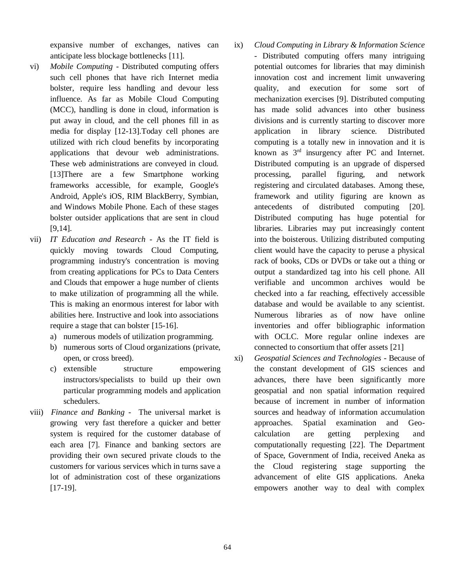expansive number of exchanges, natives can anticipate less blockage bottlenecks [11].

- vi) *Mobile Computing* Distributed computing offers such cell phones that have rich Internet media bolster, require less handling and devour less influence. As far as Mobile Cloud Computing (MCC), handling is done in cloud, information is put away in cloud, and the cell phones fill in as media for display [12-13].Today cell phones are utilized with rich cloud benefits by incorporating applications that devour web administrations. These web administrations are conveyed in cloud. [13]There are a few Smartphone working frameworks accessible, for example, Google's Android, Apple's iOS, RIM BlackBerry, Symbian, and Windows Mobile Phone. Each of these stages bolster outsider applications that are sent in cloud [9,14].
- vii) *IT Education and Research* As the IT field is quickly moving towards Cloud Computing, programming industry's concentration is moving from creating applications for PCs to Data Centers and Clouds that empower a huge number of clients to make utilization of programming all the while. This is making an enormous interest for labor with abilities here. Instructive and look into associations require a stage that can bolster [15-16].
	- a) numerous models of utilization programming.
	- b) numerous sorts of Cloud organizations (private, open, or cross breed).
	- c) extensible structure empowering instructors/specialists to build up their own particular programming models and application schedulers.
- viii) *Finance and Banking* The universal market is growing very fast therefore a quicker and better system is required for the customer database of each area [7]. Finance and banking sectors are providing their own secured private clouds to the customers for various services which in turns save a lot of administration cost of these organizations [17-19].
- ix) *Cloud Computing in Library & Information Science* - Distributed computing offers many intriguing potential outcomes for libraries that may diminish innovation cost and increment limit unwavering quality, and execution for some sort of mechanization exercises [9]. Distributed computing has made solid advances into other business divisions and is currently starting to discover more application in library science. Distributed computing is a totally new in innovation and it is known as 3rd insurgency after PC and Internet. Distributed computing is an upgrade of dispersed processing, parallel figuring, and network registering and circulated databases. Among these, framework and utility figuring are known as antecedents of distributed computing [20]. Distributed computing has huge potential for libraries. Libraries may put increasingly content into the boisterous. Utilizing distributed computing client would have the capacity to peruse a physical rack of books, CDs or DVDs or take out a thing or output a standardized tag into his cell phone. All verifiable and uncommon archives would be checked into a far reaching, effectively accessible database and would be available to any scientist. Numerous libraries as of now have online inventories and offer bibliographic information with OCLC. More regular online indexes are connected to consortium that offer assets [21]
- xi) *Geospatial Sciences and Technologies*  Because of the constant development of GIS sciences and advances, there have been significantly more geospatial and non spatial information required because of increment in number of information sources and headway of information accumulation approaches. Spatial examination and Geocalculation are getting perplexing and computationally requesting [22]. The Department of Space, Government of India, received Aneka as the Cloud registering stage supporting the advancement of elite GIS applications. Aneka empowers another way to deal with complex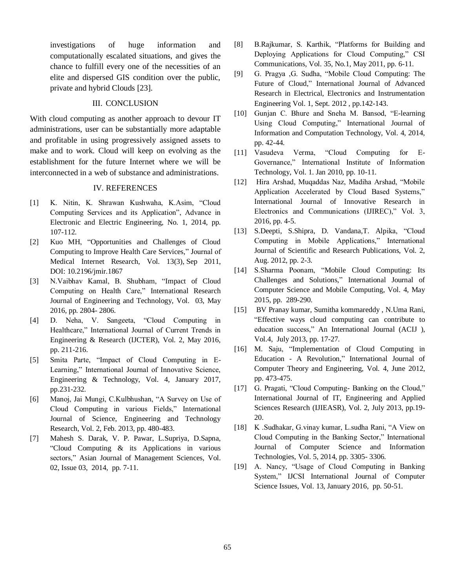investigations of huge information and computationally escalated situations, and gives the chance to fulfill every one of the necessities of an elite and dispersed GIS condition over the public, private and hybrid Clouds [23].

### III. CONCLUSION

With cloud computing as another approach to devour IT administrations, user can be substantially more adaptable and profitable in using progressively assigned assets to make and to work. Cloud will keep on evolving as the establishment for the future Internet where we will be interconnected in a web of substance and administrations.

### IV. REFERENCES

- [1] K. Nitin, K. Shrawan Kushwaha, K.Asim, "Cloud Computing Services and its Application", Advance in Electronic and Electric Engineering, No. 1, 2014, pp. 107-112.
- [2] Kuo MH, "Opportunities and Challenges of Cloud Computing to Improve Health Care Services," Journal of Medical Internet Research, Vol. 13(3), Sep 2011, DOI: [10.2196/jmir.1867](http://doi.org/10.2196/jmir.1867)
- [3] N.Vaibhav Kamal, B. Shubham, "Impact of Cloud Computing on Health Care," International Research Journal of Engineering and Technology, Vol. 03, May 2016, pp. 2804- 2806.
- [4] D. Neha, V. Sangeeta, "Cloud Computing in Healthcare," International Journal of Current Trends in Engineering & Research (IJCTER), Vol. 2, May 2016, pp. 211-216.
- [5] Smita Parte, "Impact of Cloud Computing in E-Learning," International Journal of Innovative Science, Engineering & Technology, Vol. 4, January 2017, pp.231-232.
- [6] Manoj, Jai Mungi, C.Kulbhushan, "A Survey on Use of Cloud Computing in various Fields," International Journal of Science, Engineering and Technology Research, Vol. 2, Feb. 2013, pp. 480-483.
- [7] Mahesh S. Darak, V. P. Pawar, L.Supriya, D.Sapna, "Cloud Computing & its Applications in various sectors," Asian Journal of Management Sciences, Vol. 02, Issue 03, 2014, pp. 7-11.
- [8] B.Rajkumar, S. Karthik, "Platforms for Building and Deploying Applications for Cloud Computing," CSI Communications, Vol. 35, No.1, May 2011, pp. 6-11.
- [9] G. Pragya ,G. Sudha, "Mobile Cloud Computing: The Future of Cloud," International Journal of Advanced Research in Electrical, Electronics and Instrumentation Engineering Vol. 1, Sept. 2012 , pp.142-143.
- [10] Gunjan C. Bhure and Sneha M. Bansod, "E-learning Using Cloud Computing," International Journal of Information and Computation Technology, Vol. 4, 2014, pp. 42-44.
- [11] Vasudeva Verma, "Cloud Computing for E-Governance," International Institute of Information Technology, Vol. 1. Jan 2010, pp. 10-11.
- [12] Hira Arshad, Muqaddas Naz, Madiha Arshad, "Mobile Application Accelerated by Cloud Based Systems," International Journal of Innovative Research in Electronics and Communications (IJIREC)," Vol. 3, 2016, pp. 4-5.
- [13] S.Deepti, S.Shipra, D. Vandana,T. Alpika, "Cloud Computing in Mobile Applications," International Journal of Scientific and Research Publications, Vol. 2, Aug. 2012, pp. 2-3.
- [14] S.Sharma Poonam, "Mobile Cloud Computing: Its Challenges and Solutions," International Journal of Computer Science and Mobile Computing, Vol. 4, May 2015, pp. 289-290.
- [15] BV Pranay kumar, Sumitha kommareddy , N.Uma Rani, "Effective ways cloud computing can contribute to education success," An International Journal (ACIJ ), Vol.4, July 2013, pp. 17-27.
- [16] M. Saju, "Implementation of Cloud Computing in Education - A Revolution," International Journal of Computer Theory and Engineering, Vol. 4, June 2012, pp. 473-475.
- [17] G. Pragati, "Cloud Computing- Banking on the Cloud," International Journal of IT, Engineering and Applied Sciences Research (IJIEASR), Vol. 2, July 2013, pp.19- 20.
- [18] K .Sudhakar, G.vinay kumar, L.sudha Rani, "A View on Cloud Computing in the Banking Sector," International Journal of Computer Science and Information Technologies, Vol. 5, 2014, pp. 3305- 3306.
- [19] A. Nancy, "Usage of Cloud Computing in Banking System," IJCSI International Journal of Computer Science Issues, Vol. 13, January 2016, pp. 50-51.